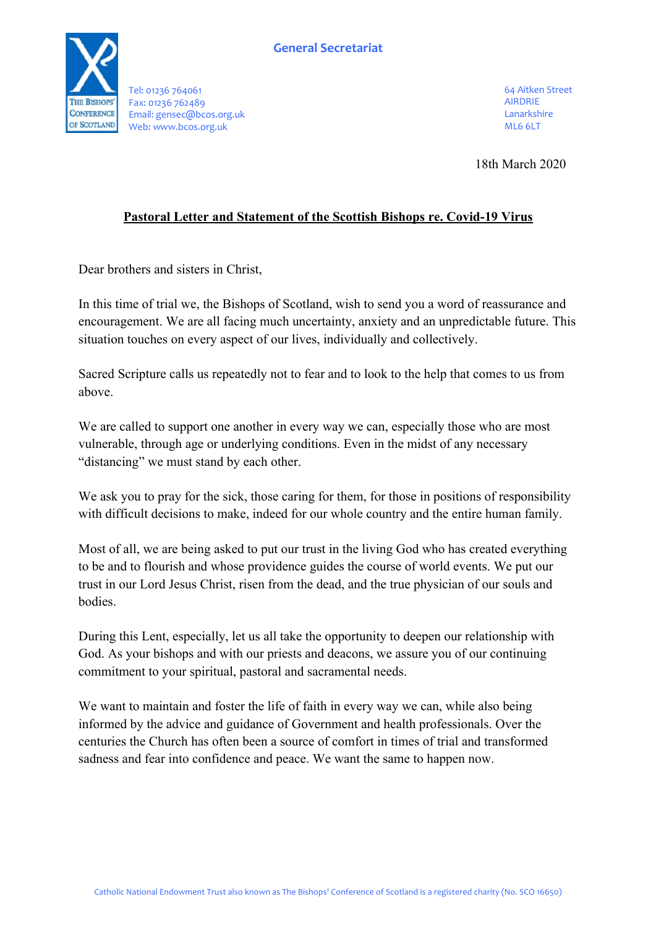

Tel: 01236 764061 Fax: 01236 762489 Email: gensec@bcos.org.uk Web: www.bcos.org.uk

64 Aitken Street AIRDRIE Lanarkshire ML6 6LT

18th March 2020

## **Pastoral Letter and Statement of the Scottish Bishops re. Covid-19 Virus**

Dear brothers and sisters in Christ,

In this time of trial we, the Bishops of Scotland, wish to send you a word of reassurance and encouragement. We are all facing much uncertainty, anxiety and an unpredictable future. This situation touches on every aspect of our lives, individually and collectively.

Sacred Scripture calls us repeatedly not to fear and to look to the help that comes to us from above.

We are called to support one another in every way we can, especially those who are most vulnerable, through age or underlying conditions. Even in the midst of any necessary "distancing" we must stand by each other.

We ask you to pray for the sick, those caring for them, for those in positions of responsibility with difficult decisions to make, indeed for our whole country and the entire human family.

Most of all, we are being asked to put our trust in the living God who has created everything to be and to flourish and whose providence guides the course of world events. We put our trust in our Lord Jesus Christ, risen from the dead, and the true physician of our souls and bodies.

During this Lent, especially, let us all take the opportunity to deepen our relationship with God. As your bishops and with our priests and deacons, we assure you of our continuing commitment to your spiritual, pastoral and sacramental needs.

We want to maintain and foster the life of faith in every way we can, while also being informed by the advice and guidance of Government and health professionals. Over the centuries the Church has often been a source of comfort in times of trial and transformed sadness and fear into confidence and peace. We want the same to happen now.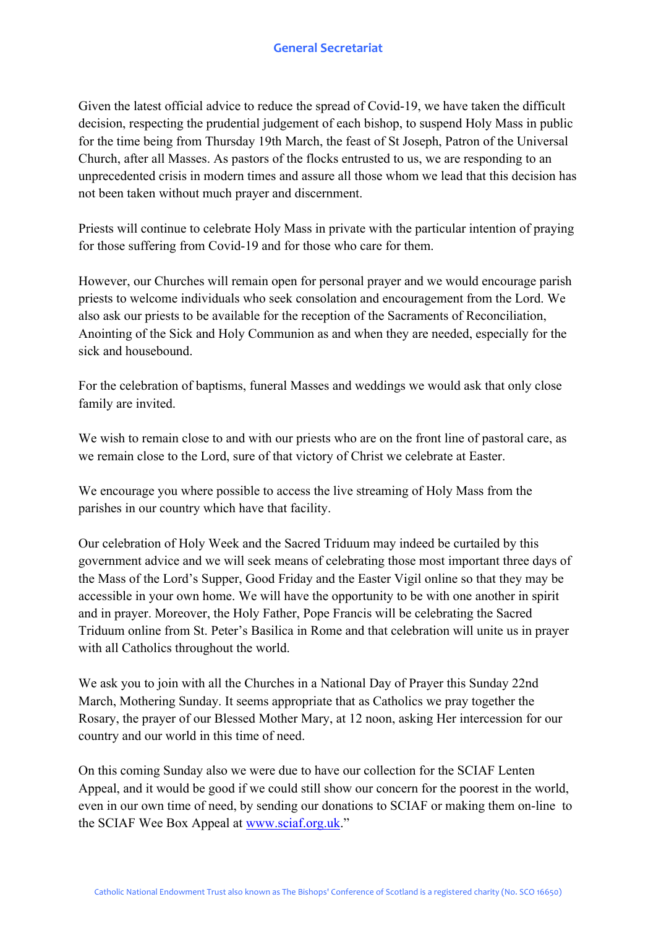Given the latest official advice to reduce the spread of Covid-19, we have taken the difficult decision, respecting the prudential judgement of each bishop, to suspend Holy Mass in public for the time being from Thursday 19th March, the feast of St Joseph, Patron of the Universal Church, after all Masses. As pastors of the flocks entrusted to us, we are responding to an unprecedented crisis in modern times and assure all those whom we lead that this decision has not been taken without much prayer and discernment.

Priests will continue to celebrate Holy Mass in private with the particular intention of praying for those suffering from Covid-19 and for those who care for them.

However, our Churches will remain open for personal prayer and we would encourage parish priests to welcome individuals who seek consolation and encouragement from the Lord. We also ask our priests to be available for the reception of the Sacraments of Reconciliation, Anointing of the Sick and Holy Communion as and when they are needed, especially for the sick and housebound.

For the celebration of baptisms, funeral Masses and weddings we would ask that only close family are invited.

We wish to remain close to and with our priests who are on the front line of pastoral care, as we remain close to the Lord, sure of that victory of Christ we celebrate at Easter.

We encourage you where possible to access the live streaming of Holy Mass from the parishes in our country which have that facility.

Our celebration of Holy Week and the Sacred Triduum may indeed be curtailed by this government advice and we will seek means of celebrating those most important three days of the Mass of the Lord's Supper, Good Friday and the Easter Vigil online so that they may be accessible in your own home. We will have the opportunity to be with one another in spirit and in prayer. Moreover, the Holy Father, Pope Francis will be celebrating the Sacred Triduum online from St. Peter's Basilica in Rome and that celebration will unite us in prayer with all Catholics throughout the world.

We ask you to join with all the Churches in a National Day of Prayer this Sunday 22nd March, Mothering Sunday. It seems appropriate that as Catholics we pray together the Rosary, the prayer of our Blessed Mother Mary, at 12 noon, asking Her intercession for our country and our world in this time of need.

On this coming Sunday also we were due to have our collection for the SCIAF Lenten Appeal, and it would be good if we could still show our concern for the poorest in the world, even in our own time of need, by sending our donations to SCIAF or making them on-line to the SCIAF Wee Box Appeal at www.sciaf.org.uk."